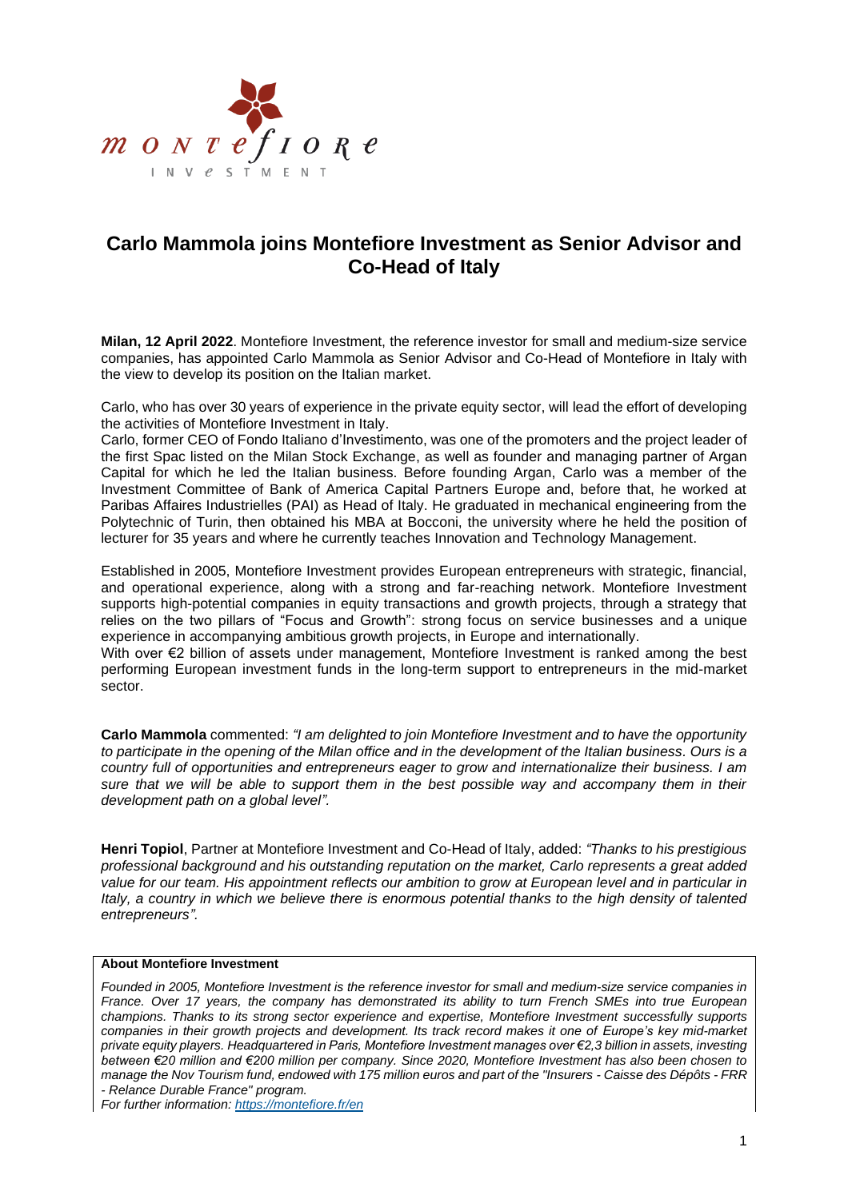

## **Carlo Mammola joins Montefiore Investment as Senior Advisor and Co-Head of Italy**

**Milan, 12 April 2022**. Montefiore Investment, the reference investor for small and medium-size service companies, has appointed Carlo Mammola as Senior Advisor and Co-Head of Montefiore in Italy with the view to develop its position on the Italian market.

Carlo, who has over 30 years of experience in the private equity sector, will lead the effort of developing the activities of Montefiore Investment in Italy.

Carlo, former CEO of Fondo Italiano d'Investimento, was one of the promoters and the project leader of the first Spac listed on the Milan Stock Exchange, as well as founder and managing partner of Argan Capital for which he led the Italian business. Before founding Argan, Carlo was a member of the Investment Committee of Bank of America Capital Partners Europe and, before that, he worked at Paribas Affaires Industrielles (PAI) as Head of Italy. He graduated in mechanical engineering from the Polytechnic of Turin, then obtained his MBA at Bocconi, the university where he held the position of lecturer for 35 years and where he currently teaches Innovation and Technology Management.

Established in 2005, Montefiore Investment provides European entrepreneurs with strategic, financial, and operational experience, along with a strong and far-reaching network. Montefiore Investment supports high-potential companies in equity transactions and growth projects, through a strategy that relies on the two pillars of "Focus and Growth": strong focus on service businesses and a unique experience in accompanying ambitious growth projects, in Europe and internationally.

With over €2 billion of assets under management, Montefiore Investment is ranked among the best performing European investment funds in the long-term support to entrepreneurs in the mid-market sector.

**Carlo Mammola** commented: *"I am delighted to join Montefiore Investment and to have the opportunity to participate in the opening of the Milan office and in the development of the Italian business. Ours is a country full of opportunities and entrepreneurs eager to grow and internationalize their business. I am sure that we will be able to support them in the best possible way and accompany them in their development path on a global level".*

**Henri Topiol**, Partner at Montefiore Investment and Co-Head of Italy, added: *"Thanks to his prestigious professional background and his outstanding reputation on the market, Carlo represents a great added value for our team. His appointment reflects our ambition to grow at European level and in particular in Italy, a country in which we believe there is enormous potential thanks to the high density of talented entrepreneurs".*

## **About Montefiore Investment**

*Founded in 2005, Montefiore Investment is the reference investor for small and medium-size service companies in France. Over 17 years, the company has demonstrated its ability to turn French SMEs into true European champions. Thanks to its strong sector experience and expertise, Montefiore Investment successfully supports companies in their growth projects and development. Its track record makes it one of Europe's key mid-market private equity players. Headquartered in Paris, Montefiore Investment manages over €2,3 billion in assets, investing between €20 million and €200 million per company. Since 2020, Montefiore Investment has also been chosen to manage the Nov Tourism fund, endowed with 175 million euros and part of the "Insurers - Caisse des Dépôts - FRR - Relance Durable France" program.*

*For further information:<https://montefiore.fr/en>*